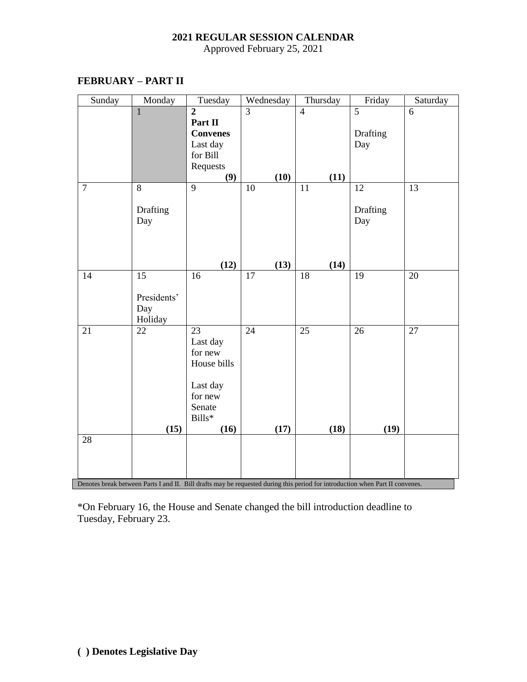## **2021 REGULAR SESSION CALENDAR**

Approved February 25, 2021

| Sunday         | Monday                                                                                                                        | Tuesday          | Wednesday      | Thursday       | Friday         | Saturday |  |  |  |  |
|----------------|-------------------------------------------------------------------------------------------------------------------------------|------------------|----------------|----------------|----------------|----------|--|--|--|--|
|                | $\mathbf{1}$                                                                                                                  | $\overline{2}$   | $\overline{3}$ | $\overline{4}$ | $\overline{5}$ | 6        |  |  |  |  |
|                |                                                                                                                               | Part II          |                |                |                |          |  |  |  |  |
|                |                                                                                                                               | <b>Convenes</b>  |                |                | Drafting       |          |  |  |  |  |
|                |                                                                                                                               | Last day         |                |                | Day            |          |  |  |  |  |
|                |                                                                                                                               | for Bill         |                |                |                |          |  |  |  |  |
|                |                                                                                                                               | Requests         |                |                |                |          |  |  |  |  |
|                |                                                                                                                               | (9)              | (10)           | (11)           |                |          |  |  |  |  |
| $\overline{7}$ | 8                                                                                                                             | 9                | 10             | 11             | 12             | 13       |  |  |  |  |
|                |                                                                                                                               |                  |                |                |                |          |  |  |  |  |
|                | Drafting                                                                                                                      |                  |                |                | Drafting       |          |  |  |  |  |
|                | Day                                                                                                                           |                  |                |                | Day            |          |  |  |  |  |
|                |                                                                                                                               |                  |                |                |                |          |  |  |  |  |
|                |                                                                                                                               |                  |                |                |                |          |  |  |  |  |
|                |                                                                                                                               | (12)             | (13)           | (14)           |                |          |  |  |  |  |
| 14             | 15                                                                                                                            | 16               | 17             | 18             | 19             | 20       |  |  |  |  |
|                |                                                                                                                               |                  |                |                |                |          |  |  |  |  |
|                | Presidents'                                                                                                                   |                  |                |                |                |          |  |  |  |  |
|                | Day                                                                                                                           |                  |                |                |                |          |  |  |  |  |
|                | Holiday                                                                                                                       |                  |                |                |                |          |  |  |  |  |
| 21             | 22                                                                                                                            | $\overline{23}$  | 24             | 25             | 26             | 27       |  |  |  |  |
|                |                                                                                                                               | Last day         |                |                |                |          |  |  |  |  |
|                |                                                                                                                               | for new          |                |                |                |          |  |  |  |  |
|                |                                                                                                                               | House bills      |                |                |                |          |  |  |  |  |
|                |                                                                                                                               |                  |                |                |                |          |  |  |  |  |
|                |                                                                                                                               | Last day         |                |                |                |          |  |  |  |  |
|                |                                                                                                                               | for new          |                |                |                |          |  |  |  |  |
|                |                                                                                                                               | Senate<br>Bills* |                |                |                |          |  |  |  |  |
|                | (15)                                                                                                                          | (16)             | (17)           | (18)           | (19)           |          |  |  |  |  |
| 28             |                                                                                                                               |                  |                |                |                |          |  |  |  |  |
|                |                                                                                                                               |                  |                |                |                |          |  |  |  |  |
|                |                                                                                                                               |                  |                |                |                |          |  |  |  |  |
|                |                                                                                                                               |                  |                |                |                |          |  |  |  |  |
|                | Denotes break between Parts I and II. Bill drafts may be requested during this period for introduction when Part II convenes. |                  |                |                |                |          |  |  |  |  |

## **FEBRUARY – PART II**

\*On February 16, the House and Senate changed the bill introduction deadline to Tuesday, February 23.